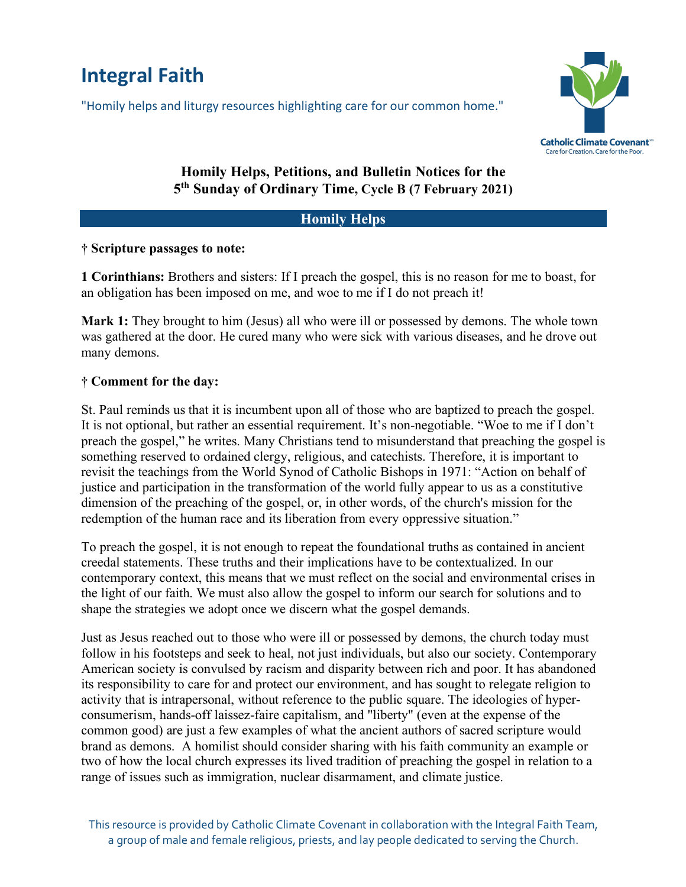# **Integral Faith**

"Homily helps and liturgy resources highlighting care for our common home."



## **Homily Helps, Petitions, and Bulletin Notices for the 5th Sunday of Ordinary Time, Cycle B (7 February 2021)**

#### **Homily Helps**

#### **† Scripture passages to note:**

**1 Corinthians:** Brothers and sisters: If I preach the gospel, this is no reason for me to boast, for an obligation has been imposed on me, and woe to me if I do not preach it!

**Mark 1:** They brought to him (Jesus) all who were ill or possessed by demons. The whole town was gathered at the door. He cured many who were sick with various diseases, and he drove out many demons.

### **† Comment for the day:**

St. Paul reminds us that it is incumbent upon all of those who are baptized to preach the gospel. It is not optional, but rather an essential requirement. It's non-negotiable. "Woe to me if I don't preach the gospel," he writes. Many Christians tend to misunderstand that preaching the gospel is something reserved to ordained clergy, religious, and catechists. Therefore, it is important to revisit the teachings from the World Synod of Catholic Bishops in 1971: "Action on behalf of justice and participation in the transformation of the world fully appear to us as a constitutive dimension of the preaching of the gospel, or, in other words, of the church's mission for the redemption of the human race and its liberation from every oppressive situation."

To preach the gospel, it is not enough to repeat the foundational truths as contained in ancient creedal statements. These truths and their implications have to be contextualized. In our contemporary context, this means that we must reflect on the social and environmental crises in the light of our faith. We must also allow the gospel to inform our search for solutions and to shape the strategies we adopt once we discern what the gospel demands.

Just as Jesus reached out to those who were ill or possessed by demons, the church today must follow in his footsteps and seek to heal, not just individuals, but also our society. Contemporary American society is convulsed by racism and disparity between rich and poor. It has abandoned its responsibility to care for and protect our environment, and has sought to relegate religion to activity that is intrapersonal, without reference to the public square. The ideologies of hyperconsumerism, hands-off laissez-faire capitalism, and "liberty" (even at the expense of the common good) are just a few examples of what the ancient authors of sacred scripture would brand as demons. A homilist should consider sharing with his faith community an example or two of how the local church expresses its lived tradition of preaching the gospel in relation to a range of issues such as immigration, nuclear disarmament, and climate justice.